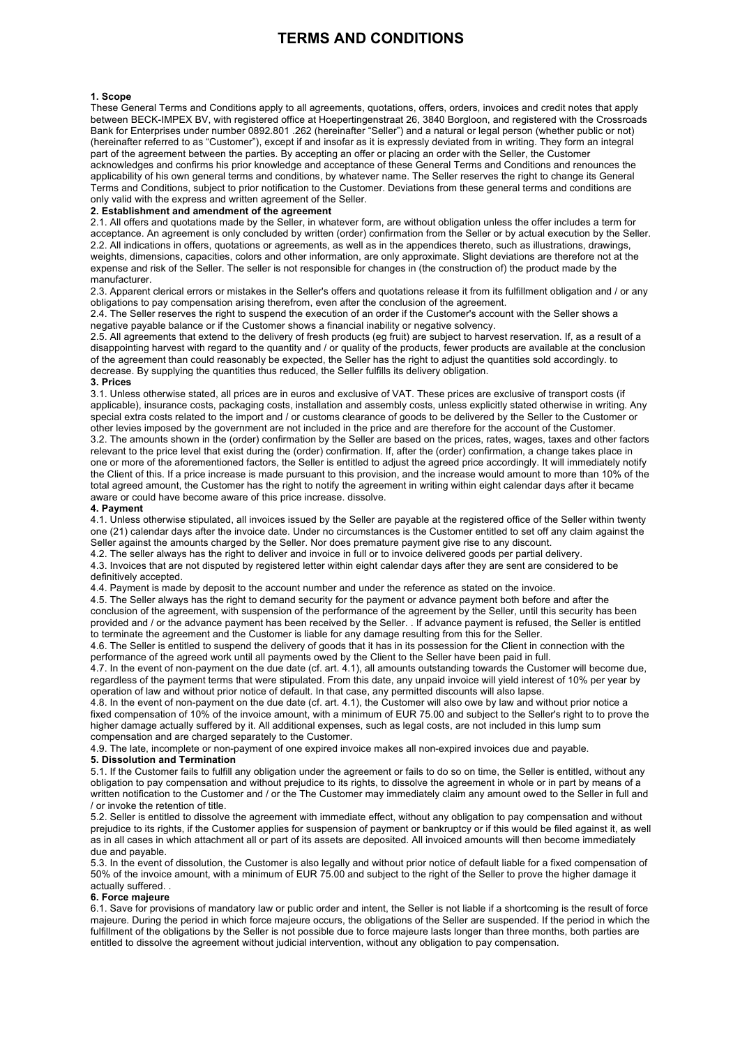# **TERMS AND CONDITIONS**

### **1. Scope**

These General Terms and Conditions apply to all agreements, quotations, offers, orders, invoices and credit notes that apply between BECK-IMPEX BV, with registered office at Hoepertingenstraat 26, 3840 Borgloon, and registered with the Crossroads Bank for Enterprises under number 0892.801 .262 (hereinafter "Seller") and a natural or legal person (whether public or not) (hereinafter referred to as "Customer"), except if and insofar as it is expressly deviated from in writing. They form an integral part of the agreement between the parties. By accepting an offer or placing an order with the Seller, the Customer acknowledges and confirms his prior knowledge and acceptance of these General Terms and Conditions and renounces the applicability of his own general terms and conditions, by whatever name. The Seller reserves the right to change its General Terms and Conditions, subject to prior notification to the Customer. Deviations from these general terms and conditions are only valid with the express and written agreement of the Seller.

## **2. Establishment and amendment of the agreement**

2.1. All offers and quotations made by the Seller, in whatever form, are without obligation unless the offer includes a term for acceptance. An agreement is only concluded by written (order) confirmation from the Seller or by actual execution by the Seller. 2.2. All indications in offers, quotations or agreements, as well as in the appendices thereto, such as illustrations, drawings, weights, dimensions, capacities, colors and other information, are only approximate. Slight deviations are therefore not at the expense and risk of the Seller. The seller is not responsible for changes in (the construction of) the product made by the manufacturer.

2.3. Apparent clerical errors or mistakes in the Seller's offers and quotations release it from its fulfillment obligation and / or any obligations to pay compensation arising therefrom, even after the conclusion of the agreement.

2.4. The Seller reserves the right to suspend the execution of an order if the Customer's account with the Seller shows a negative payable balance or if the Customer shows a financial inability or negative solvency.

2.5. All agreements that extend to the delivery of fresh products (eg fruit) are subject to harvest reservation. If, as a result of a disappointing harvest with regard to the quantity and / or quality of the products, fewer products are available at the conclusion of the agreement than could reasonably be expected, the Seller has the right to adjust the quantities sold accordingly. to decrease. By supplying the quantities thus reduced, the Seller fulfills its delivery obligation.

#### **3. Prices**

3.1. Unless otherwise stated, all prices are in euros and exclusive of VAT. These prices are exclusive of transport costs (if applicable), insurance costs, packaging costs, installation and assembly costs, unless explicitly stated otherwise in writing. Any special extra costs related to the import and / or customs clearance of goods to be delivered by the Seller to the Customer or other levies imposed by the government are not included in the price and are therefore for the account of the Customer. 3.2. The amounts shown in the (order) confirmation by the Seller are based on the prices, rates, wages, taxes and other factors relevant to the price level that exist during the (order) confirmation. If, after the (order) confirmation, a change takes place in one or more of the aforementioned factors, the Seller is entitled to adjust the agreed price accordingly. It will immediately notify the Client of this. If a price increase is made pursuant to this provision, and the increase would amount to more than 10% of the total agreed amount, the Customer has the right to notify the agreement in writing within eight calendar days after it became aware or could have become aware of this price increase. dissolve.

#### **4. Payment**

4.1. Unless otherwise stipulated, all invoices issued by the Seller are payable at the registered office of the Seller within twenty one (21) calendar days after the invoice date. Under no circumstances is the Customer entitled to set off any claim against the Seller against the amounts charged by the Seller. Nor does premature payment give rise to any discount.

4.2. The seller always has the right to deliver and invoice in full or to invoice delivered goods per partial delivery. 4.3. Invoices that are not disputed by registered letter within eight calendar days after they are sent are considered to be

## definitively accepted.

4.4. Payment is made by deposit to the account number and under the reference as stated on the invoice.

4.5. The Seller always has the right to demand security for the payment or advance payment both before and after the conclusion of the agreement, with suspension of the performance of the agreement by the Seller, until this security has been provided and / or the advance payment has been received by the Seller. . If advance payment is refused, the Seller is entitled to terminate the agreement and the Customer is liable for any damage resulting from this for the Seller.

4.6. The Seller is entitled to suspend the delivery of goods that it has in its possession for the Client in connection with the performance of the agreed work until all payments owed by the Client to the Seller have been paid in full.

4.7. In the event of non-payment on the due date (cf. art. 4.1), all amounts outstanding towards the Customer will become due, regardless of the payment terms that were stipulated. From this date, any unpaid invoice will yield interest of 10% per year by operation of law and without prior notice of default. In that case, any permitted discounts will also lapse.

4.8. In the event of non-payment on the due date (cf. art. 4.1), the Customer will also owe by law and without prior notice a fixed compensation of 10% of the invoice amount, with a minimum of EUR 75.00 and subject to the Seller's right to to prove the higher damage actually suffered by it. All additional expenses, such as legal costs, are not included in this lump sum compensation and are charged separately to the Customer.

4.9. The late, incomplete or non-payment of one expired invoice makes all non-expired invoices due and payable.

#### **5. Dissolution and Termination**

5.1. If the Customer fails to fulfill any obligation under the agreement or fails to do so on time, the Seller is entitled, without any obligation to pay compensation and without prejudice to its rights, to dissolve the agreement in whole or in part by means of a written notification to the Customer and / or the The Customer may immediately claim any amount owed to the Seller in full and / or invoke the retention of title.

5.2. Seller is entitled to dissolve the agreement with immediate effect, without any obligation to pay compensation and without prejudice to its rights, if the Customer applies for suspension of payment or bankruptcy or if this would be filed against it, as well as in all cases in which attachment all or part of its assets are deposited. All invoiced amounts will then become immediately due and payable.

5.3. In the event of dissolution, the Customer is also legally and without prior notice of default liable for a fixed compensation of 50% of the invoice amount, with a minimum of EUR 75.00 and subject to the right of the Seller to prove the higher damage it actually suffered.

#### **6. Force majeure**

6.1. Save for provisions of mandatory law or public order and intent, the Seller is not liable if a shortcoming is the result of force majeure. During the period in which force majeure occurs, the obligations of the Seller are suspended. If the period in which the fulfillment of the obligations by the Seller is not possible due to force majeure lasts longer than three months, both parties are entitled to dissolve the agreement without judicial intervention, without any obligation to pay compensation.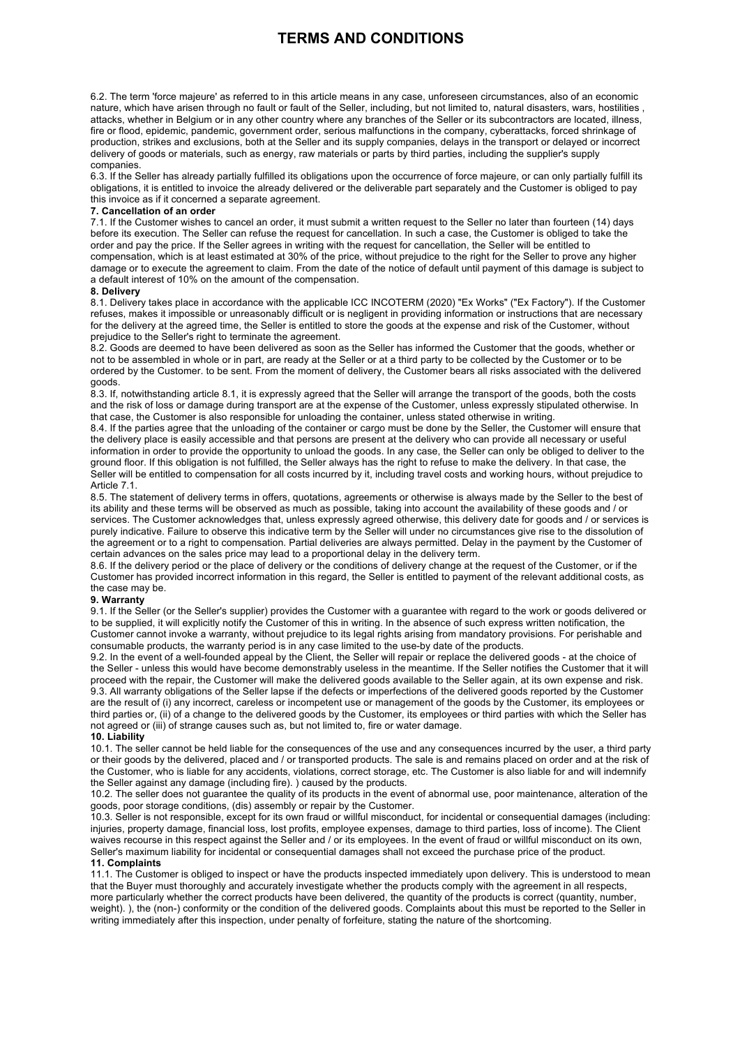# **TERMS AND CONDITIONS**

6.2. The term 'force majeure' as referred to in this article means in any case, unforeseen circumstances, also of an economic nature, which have arisen through no fault or fault of the Seller, including, but not limited to, natural disasters, wars, hostilities , attacks, whether in Belgium or in any other country where any branches of the Seller or its subcontractors are located, illness, fire or flood, epidemic, pandemic, government order, serious malfunctions in the company, cyberattacks, forced shrinkage of production, strikes and exclusions, both at the Seller and its supply companies, delays in the transport or delayed or incorrect delivery of goods or materials, such as energy, raw materials or parts by third parties, including the supplier's supply companies.

6.3. If the Seller has already partially fulfilled its obligations upon the occurrence of force majeure, or can only partially fulfill its obligations, it is entitled to invoice the already delivered or the deliverable part separately and the Customer is obliged to pay this invoice as if it concerned a separate agreement.

## **7. Cancellation of an order**

7.1. If the Customer wishes to cancel an order, it must submit a written request to the Seller no later than fourteen (14) days before its execution. The Seller can refuse the request for cancellation. In such a case, the Customer is obliged to take the order and pay the price. If the Seller agrees in writing with the request for cancellation, the Seller will be entitled to compensation, which is at least estimated at 30% of the price, without prejudice to the right for the Seller to prove any higher damage or to execute the agreement to claim. From the date of the notice of default until payment of this damage is subject to a default interest of 10% on the amount of the compensation.

## **8. Delivery**

8.1. Delivery takes place in accordance with the applicable ICC INCOTERM (2020) "Ex Works" ("Ex Factory"). If the Customer refuses, makes it impossible or unreasonably difficult or is negligent in providing information or instructions that are necessary for the delivery at the agreed time, the Seller is entitled to store the goods at the expense and risk of the Customer, without prejudice to the Seller's right to terminate the agreement.

8.2. Goods are deemed to have been delivered as soon as the Seller has informed the Customer that the goods, whether or not to be assembled in whole or in part, are ready at the Seller or at a third party to be collected by the Customer or to be ordered by the Customer. to be sent. From the moment of delivery, the Customer bears all risks associated with the delivered goods.

8.3. If, notwithstanding article 8.1, it is expressly agreed that the Seller will arrange the transport of the goods, both the costs and the risk of loss or damage during transport are at the expense of the Customer, unless expressly stipulated otherwise. In that case, the Customer is also responsible for unloading the container, unless stated otherwise in writing.

8.4. If the parties agree that the unloading of the container or cargo must be done by the Seller, the Customer will ensure that the delivery place is easily accessible and that persons are present at the delivery who can provide all necessary or useful information in order to provide the opportunity to unload the goods. In any case, the Seller can only be obliged to deliver to the ground floor. If this obligation is not fulfilled, the Seller always has the right to refuse to make the delivery. In that case, the Seller will be entitled to compensation for all costs incurred by it, including travel costs and working hours, without prejudice to Article 7.1.

8.5. The statement of delivery terms in offers, quotations, agreements or otherwise is always made by the Seller to the best of its ability and these terms will be observed as much as possible, taking into account the availability of these goods and / or services. The Customer acknowledges that, unless expressly agreed otherwise, this delivery date for goods and / or services is purely indicative. Failure to observe this indicative term by the Seller will under no circumstances give rise to the dissolution of the agreement or to a right to compensation. Partial deliveries are always permitted. Delay in the payment by the Customer of certain advances on the sales price may lead to a proportional delay in the delivery term.

8.6. If the delivery period or the place of delivery or the conditions of delivery change at the request of the Customer, or if the Customer has provided incorrect information in this regard, the Seller is entitled to payment of the relevant additional costs, as the case may be.

## **9. Warranty**

9.1. If the Seller (or the Seller's supplier) provides the Customer with a guarantee with regard to the work or goods delivered or to be supplied, it will explicitly notify the Customer of this in writing. In the absence of such express written notification, the Customer cannot invoke a warranty, without prejudice to its legal rights arising from mandatory provisions. For perishable and consumable products, the warranty period is in any case limited to the use-by date of the products.

9.2. In the event of a well-founded appeal by the Client, the Seller will repair or replace the delivered goods - at the choice of the Seller - unless this would have become demonstrably useless in the meantime. If the Seller notifies the Customer that it will proceed with the repair, the Customer will make the delivered goods available to the Seller again, at its own expense and risk. 9.3. All warranty obligations of the Seller lapse if the defects or imperfections of the delivered goods reported by the Customer are the result of (i) any incorrect, careless or incompetent use or management of the goods by the Customer, its employees or third parties or, (ii) of a change to the delivered goods by the Customer, its employees or third parties with which the Seller has not agreed or (iii) of strange causes such as, but not limited to, fire or water damage.

## **10. Liability**

10.1. The seller cannot be held liable for the consequences of the use and any consequences incurred by the user, a third party or their goods by the delivered, placed and / or transported products. The sale is and remains placed on order and at the risk of the Customer, who is liable for any accidents, violations, correct storage, etc. The Customer is also liable for and will indemnify the Seller against any damage (including fire). ) caused by the products.

10.2. The seller does not guarantee the quality of its products in the event of abnormal use, poor maintenance, alteration of the goods, poor storage conditions, (dis) assembly or repair by the Customer.

10.3. Seller is not responsible, except for its own fraud or willful misconduct, for incidental or consequential damages (including: injuries, property damage, financial loss, lost profits, employee expenses, damage to third parties, loss of income). The Client waives recourse in this respect against the Seller and / or its employees. In the event of fraud or willful misconduct on its own, Seller's maximum liability for incidental or consequential damages shall not exceed the purchase price of the product. **11. Complaints**

11.1. The Customer is obliged to inspect or have the products inspected immediately upon delivery. This is understood to mean that the Buyer must thoroughly and accurately investigate whether the products comply with the agreement in all respects, more particularly whether the correct products have been delivered, the quantity of the products is correct (quantity, number, weight). ), the (non-) conformity or the condition of the delivered goods. Complaints about this must be reported to the Seller in writing immediately after this inspection, under penalty of forfeiture, stating the nature of the shortcoming.